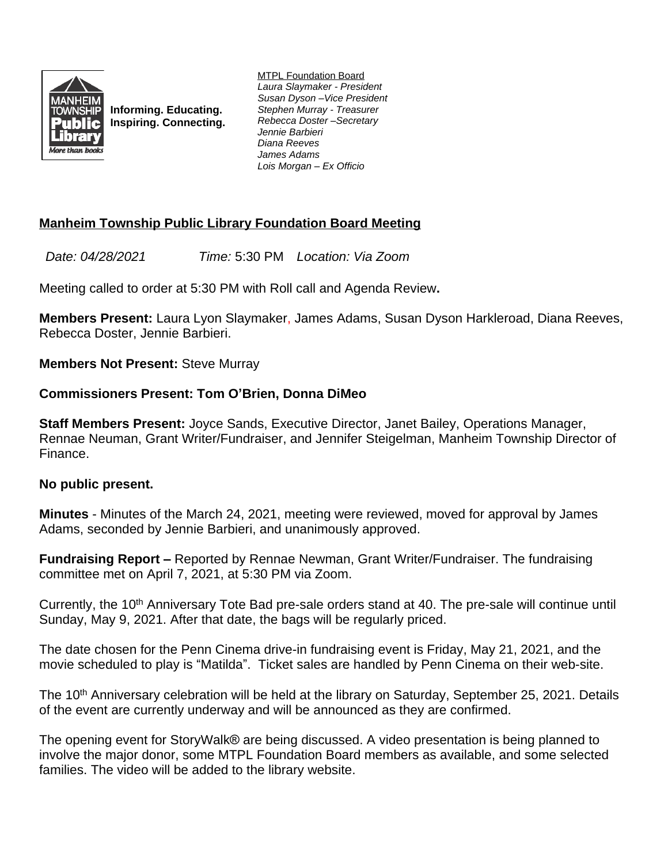

**Informing. Educating. Inspiring. Connecting.** MTPL Foundation Board *Laura Slaymaker - President Susan Dyson –Vice President Stephen Murray - Treasurer Rebecca Doster –Secretary Jennie Barbieri Diana Reeves James Adams Lois Morgan – Ex Officio*

## **Manheim Township Public Library Foundation Board Meeting**

*Date: 04/28/2021 Time:* 5:30 PM *Location: Via Zoom*

Meeting called to order at 5:30 PM with Roll call and Agenda Review**.**

**Members Present:** Laura Lyon Slaymaker, James Adams, Susan Dyson Harkleroad, Diana Reeves, Rebecca Doster, Jennie Barbieri.

**Members Not Present:** Steve Murray

## **Commissioners Present: Tom O'Brien, Donna DiMeo**

**Staff Members Present:** Joyce Sands, Executive Director, Janet Bailey, Operations Manager, Rennae Neuman, Grant Writer/Fundraiser, and Jennifer Steigelman, Manheim Township Director of Finance.

## **No public present.**

**Minutes** - Minutes of the March 24, 2021, meeting were reviewed, moved for approval by James Adams, seconded by Jennie Barbieri, and unanimously approved.

**Fundraising Report –** Reported by Rennae Newman, Grant Writer/Fundraiser. The fundraising committee met on April 7, 2021, at 5:30 PM via Zoom.

Currently, the 10<sup>th</sup> Anniversary Tote Bad pre-sale orders stand at 40. The pre-sale will continue until Sunday, May 9, 2021. After that date, the bags will be regularly priced.

The date chosen for the Penn Cinema drive-in fundraising event is Friday, May 21, 2021, and the movie scheduled to play is "Matilda". Ticket sales are handled by Penn Cinema on their web-site.

The 10<sup>th</sup> Anniversary celebration will be held at the library on Saturday, September 25, 2021. Details of the event are currently underway and will be announced as they are confirmed.

The opening event for StoryWalk® are being discussed. A video presentation is being planned to involve the major donor, some MTPL Foundation Board members as available, and some selected families. The video will be added to the library website.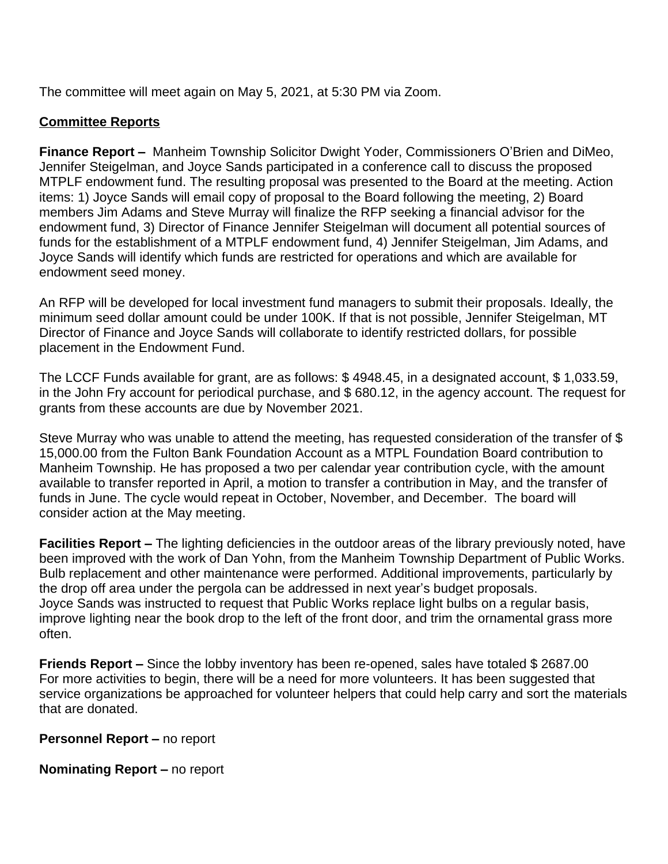The committee will meet again on May 5, 2021, at 5:30 PM via Zoom.

## **Committee Reports**

**Finance Report –** Manheim Township Solicitor Dwight Yoder, Commissioners O'Brien and DiMeo, Jennifer Steigelman, and Joyce Sands participated in a conference call to discuss the proposed MTPLF endowment fund. The resulting proposal was presented to the Board at the meeting. Action items: 1) Joyce Sands will email copy of proposal to the Board following the meeting, 2) Board members Jim Adams and Steve Murray will finalize the RFP seeking a financial advisor for the endowment fund, 3) Director of Finance Jennifer Steigelman will document all potential sources of funds for the establishment of a MTPLF endowment fund, 4) Jennifer Steigelman, Jim Adams, and Joyce Sands will identify which funds are restricted for operations and which are available for endowment seed money.

An RFP will be developed for local investment fund managers to submit their proposals. Ideally, the minimum seed dollar amount could be under 100K. If that is not possible, Jennifer Steigelman, MT Director of Finance and Joyce Sands will collaborate to identify restricted dollars, for possible placement in the Endowment Fund.

The LCCF Funds available for grant, are as follows: \$ 4948.45, in a designated account, \$ 1,033.59, in the John Fry account for periodical purchase, and \$ 680.12, in the agency account. The request for grants from these accounts are due by November 2021.

Steve Murray who was unable to attend the meeting, has requested consideration of the transfer of \$ 15,000.00 from the Fulton Bank Foundation Account as a MTPL Foundation Board contribution to Manheim Township. He has proposed a two per calendar year contribution cycle, with the amount available to transfer reported in April, a motion to transfer a contribution in May, and the transfer of funds in June. The cycle would repeat in October, November, and December. The board will consider action at the May meeting.

**Facilities Report –** The lighting deficiencies in the outdoor areas of the library previously noted, have been improved with the work of Dan Yohn, from the Manheim Township Department of Public Works. Bulb replacement and other maintenance were performed. Additional improvements, particularly by the drop off area under the pergola can be addressed in next year's budget proposals. Joyce Sands was instructed to request that Public Works replace light bulbs on a regular basis, improve lighting near the book drop to the left of the front door, and trim the ornamental grass more often.

**Friends Report –** Since the lobby inventory has been re-opened, sales have totaled \$ 2687.00 For more activities to begin, there will be a need for more volunteers. It has been suggested that service organizations be approached for volunteer helpers that could help carry and sort the materials that are donated.

**Personnel Report – no report** 

**Nominating Report –** no report